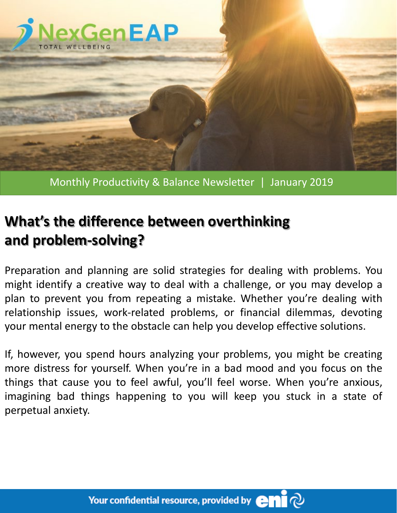

## Monthly Productivity & Balance Newsletter | January 2019

## **What's the difference between overthinking and problem-solving?**

Preparation and planning are solid strategies for dealing with problems. You might identify a creative way to deal with a challenge, or you may develop a plan to prevent you from repeating a mistake. Whether you're dealing with relationship issues, work-related problems, or financial dilemmas, devoting your mental energy to the obstacle can help you develop effective solutions.

If, however, you spend hours analyzing your problems, you might be creating more distress for yourself. When you're in a bad mood and you focus on the things that cause you to feel awful, you'll feel worse. When you're anxious, imagining bad things happening to you will keep you stuck in a state of perpetual anxiety.